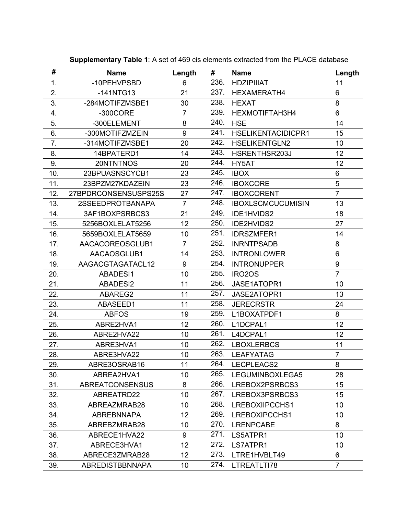| #   | <b>Name</b>            | Length          | #    | <b>Name</b>               | Length         |
|-----|------------------------|-----------------|------|---------------------------|----------------|
| 1.  | -10PEHVPSBD            | 6               | 236. | <b>HDZIPIIIAT</b>         | 11             |
| 2.  | $-141NTG13$            | 21              | 237. | HEXAMERATH4               | 6              |
| 3.  | -284MOTIFZMSBE1        | 30              | 238. | <b>HEXAT</b>              | 8              |
| 4.  | $-300$ CORE            | $\overline{7}$  | 239. | HEXMOTIFTAH3H4            | 6              |
| 5.  | -300ELEMENT            | 8               | 240. | <b>HSE</b>                | 14             |
| 6.  | -300MOTIFZMZEIN        | 9               | 241. | <b>HSELIKENTACIDICPR1</b> | 15             |
| 7.  | -314MOTIFZMSBE1        | 20              | 242. | <b>HSELIKENTGLN2</b>      | 10             |
| 8.  | 14BPATERD1             | 14              | 243. | HSRENTHSR203J             | 12             |
| 9.  | 20NTNTNOS              | 20              | 244. | HY5AT                     | 12             |
| 10. | 23BPUASNSCYCB1         | 23              | 245. | <b>IBOX</b>               | 6              |
| 11. | 23BPZM27KDAZEIN        | 23              | 246. | <b>IBOXCORE</b>           | 5              |
| 12. | 27BPDRCONSENSUSPS25S   | 27              | 247. | <b>IBOXCORENT</b>         | $\overline{7}$ |
| 13. | 2SSEEDPROTBANAPA       | $\overline{7}$  | 248. | <b>IBOXLSCMCUCUMISIN</b>  | 13             |
| 14. | 3AF1BOXPSRBCS3         | 21              | 249. | IDE1HVIDS2                | 18             |
| 15. | 5256BOXLELAT5256       | 12              | 250. | IDE2HVIDS2                | 27             |
| 16. | 5659BOXLELAT5659       | 10              | 251. | <b>IDRSZMFER1</b>         | 14             |
| 17. | AACACOREOSGLUB1        | $\overline{7}$  | 252. | <b>INRNTPSADB</b>         | 8              |
| 18. | AACAOSGLUB1            | 14              | 253. | <b>INTRONLOWER</b>        | 6              |
| 19. | AAGACGTAGATACL12       | 9               | 254. | <b>INTRONUPPER</b>        | 9              |
| 20. | ABADESI1               | 10              | 255. | IRO <sub>2</sub> OS       | $\overline{7}$ |
| 21. | ABADESI2               | 11              | 256. | JASE1ATOPR1               | 10             |
| 22. | ABAREG2                | 11              | 257. | JASE2ATOPR1               | 13             |
| 23. | ABASEED1               | 11              | 258. | <b>JERECRSTR</b>          | 24             |
| 24. | <b>ABFOS</b>           | 19              | 259. | L1BOXATPDF1               | 8              |
| 25. | ABRE2HVA1              | 12              | 260. | L1DCPAL1                  | 12             |
| 26. | ABRE2HVA22             | 10              | 261. | L4DCPAL1                  | 12             |
| 27. | ABRE3HVA1              | 10              | 262. | <b>LBOXLERBCS</b>         | 11             |
| 28. | ABRE3HVA22             | 10              | 263. | <b>LEAFYATAG</b>          | $\overline{7}$ |
| 29. | ABRE3OSRAB16           | 11              |      | 264. LECPLEACS2           | 8              |
| 30. | ABREA2HVA1             | 10              | 265. | LEGUMINBOXLEGA5           | 28             |
| 31. | <b>ABREATCONSENSUS</b> | 8               | 266. | LREBOX2PSRBCS3            | 15             |
| 32. | ABREATRD22             | 10              | 267. | LREBOX3PSRBCS3            | 15             |
| 33. | ABREAZMRAB28           | 10              | 268. | LREBOXIIPCCHS1            | 10             |
| 34. | <b>ABREBNNAPA</b>      | 12 <sub>2</sub> | 269. | LREBOXIPCCHS1             | 10             |
| 35. | ABREBZMRAB28           | 10              | 270. | <b>LRENPCABE</b>          | 8              |
| 36. | ABRECE1HVA22           | 9               | 271. | LS5ATPR1                  | 10             |
| 37. | ABRECE3HVA1            | 12 <sub>2</sub> | 272. | LS7ATPR1                  | 10             |
| 38. | ABRECE3ZMRAB28         | 12 <sup>2</sup> | 273. | LTRE1HVBLT49              | 6              |
| 39. | <b>ABREDISTBBNNAPA</b> | 10 <sup>°</sup> | 274. | LTREATLTI78               | $\overline{7}$ |

**Supplementary Table 1**: A set of 469 cis elements extracted from the PLACE database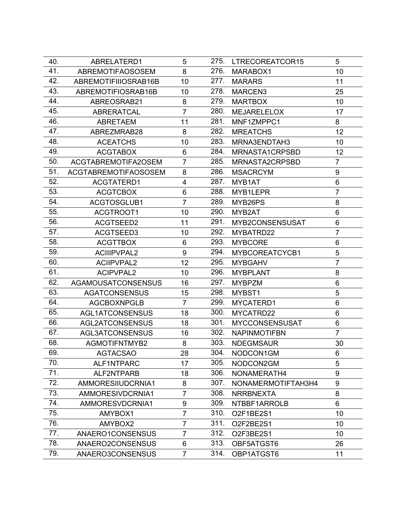| 40. | ABRELATERD1                 | 5              | 275. | LTRECOREATCOR15       | 5              |
|-----|-----------------------------|----------------|------|-----------------------|----------------|
| 41. | <b>ABREMOTIFAOSOSEM</b>     | 8              | 276. | MARABOX1              | 10             |
| 42. | ABREMOTIFIIIOSRAB16B        | 10             | 277. | <b>MARARS</b>         | 11             |
| 43. | ABREMOTIFIOSRAB16B          | 10             | 278. | MARCEN3               | 25             |
| 44. | ABREOSRAB21                 | 8              | 279. | <b>MARTBOX</b>        | 10             |
| 45. | <b>ABRERATCAL</b>           | $\overline{7}$ | 280. | <b>MEJARELELOX</b>    | 17             |
| 46. | <b>ABRETAEM</b>             | 11             | 281. | MNF1ZMPPC1            | 8              |
| 47. | ABREZMRAB28                 | 8              | 282. | <b>MREATCHS</b>       | 12             |
| 48. | <b>ACEATCHS</b>             | 10             | 283. | MRNA3ENDTAH3          | 10             |
| 49. | <b>ACGTABOX</b>             | 6              | 284. | MRNASTA1CRPSBD        | 12             |
| 50. | ACGTABREMOTIFA2OSEM         | $\overline{7}$ | 285. | MRNASTA2CRPSBD        | $\overline{7}$ |
| 51. | <b>ACGTABREMOTIFAOSOSEM</b> | 8              | 286. | <b>MSACRCYM</b>       | 9              |
| 52. | ACGTATERD1                  | 4              | 287. | MYB1AT                | $\,6$          |
| 53. | <b>ACGTCBOX</b>             | 6              | 288. | MYB1LEPR              | $\overline{7}$ |
| 54. | ACGTOSGLUB1                 | $\overline{7}$ | 289. | MYB26PS               | 8              |
| 55. | ACGTROOT1                   | 10             | 290. | MYB2AT                | $\,6$          |
| 56. | ACGTSEED2                   | 11             | 291. | MYB2CONSENSUSAT       | 6              |
| 57. | ACGTSEED3                   | 10             | 292. | MYBATRD22             | $\overline{7}$ |
| 58. | <b>ACGTTBOX</b>             | 6              | 293. | <b>MYBCORE</b>        | 6              |
| 59. | <b>ACIIIPVPAL2</b>          | 9              | 294. | MYBCOREATCYCB1        | 5              |
| 60. | <b>ACIIPVPAL2</b>           | 12             | 295. | <b>MYBGAHV</b>        | $\overline{7}$ |
| 61. | <b>ACIPVPAL2</b>            | 10             | 296. | <b>MYBPLANT</b>       | 8              |
| 62. | <b>AGAMOUSATCONSENSUS</b>   | 16             | 297. | <b>MYBPZM</b>         | $\,6$          |
| 63. | <b>AGATCONSENSUS</b>        | 15             | 298. | MYBST1                | 5              |
| 64. | <b>AGCBOXNPGLB</b>          | $\overline{7}$ | 299. | MYCATERD1             | 6              |
| 65. | <b>AGL1ATCONSENSUS</b>      | 18             | 300. | MYCATRD22             | 6              |
| 66. | <b>AGL2ATCONSENSUS</b>      | 18             | 301. | <b>MYCCONSENSUSAT</b> | 6              |
| 67. | <b>AGL3ATCONSENSUS</b>      | 16             | 302. | <b>NAPINMOTIFBN</b>   | $\overline{7}$ |
| 68. | <b>AGMOTIFNTMYB2</b>        | 8              | 303. | <b>NDEGMSAUR</b>      | 30             |
| 69. | <b>AGTACSAO</b>             | 28             | 304. | NODCON1GM             | 6              |
| 70. | ALF1NTPARC                  | 17             | 305. | NODCON2GM             | 5              |
| 71. | ALF2NTPARB                  | 18             | 306. | NONAMERATH4           | 9              |
| 72. | AMMORESIIUDCRNIA1           | 8              | 307. | NONAMERMOTIFTAH3H4    | 9              |
| 73. | AMMORESIVDCRNIA1            | $\overline{7}$ | 308. | <b>NRRBNEXTA</b>      | 8              |
| 74. | AMMORESVDCRNIA1             | 9              | 309. | NTBBF1ARROLB          | 6              |
| 75. | AMYBOX1                     | $\overline{7}$ | 310. | O2F1BE2S1             | 10             |
| 76. | AMYBOX2                     | $\overline{7}$ | 311. | O2F2BE2S1             | 10             |
| 77. | ANAERO1CONSENSUS            | $\overline{7}$ | 312. | O2F3BE2S1             | 10             |
| 78. | ANAERO2CONSENSUS            | 6              | 313. | OBF5ATGST6            | 26             |
| 79. | ANAERO3CONSENSUS            | $\overline{7}$ | 314. | OBP1ATGST6            | 11             |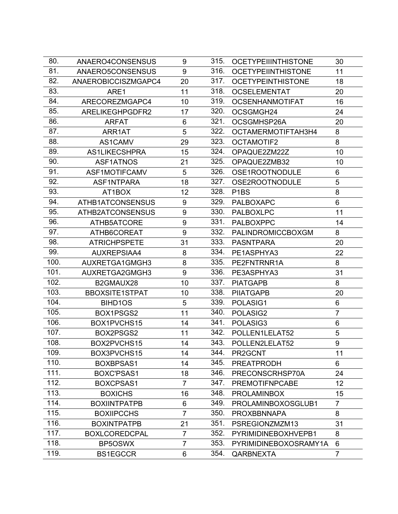| 80.  | ANAERO4CONSENSUS      | 9              | 315. | <b>OCETYPEIIINTHISTONE</b> | 30              |
|------|-----------------------|----------------|------|----------------------------|-----------------|
| 81.  | ANAERO5CONSENSUS      | 9              | 316. | <b>OCETYPEIINTHISTONE</b>  | 11              |
| 82.  | ANAEROBICCISZMGAPC4   | 20             | 317. | <b>OCETYPEINTHISTONE</b>   | 18              |
| 83.  | ARE1                  | 11             | 318. | <b>OCSELEMENTAT</b>        | 20              |
| 84.  | ARECOREZMGAPC4        | 10             | 319. | <b>OCSENHANMOTIFAT</b>     | 16              |
| 85.  | ARELIKEGHPGDFR2       | 17             | 320. | OCSGMGH24                  | 24              |
| 86.  | <b>ARFAT</b>          | 6              | 321. | OCSGMHSP26A                | 20              |
| 87.  | ARR1AT                | 5              | 322. | OCTAMERMOTIFTAH3H4         | 8               |
| 88.  | AS1CAMV               | 29             | 323. | <b>OCTAMOTIF2</b>          | 8               |
| 89.  | <b>AS1LIKECSHPRA</b>  | 15             | 324. | OPAQUE2ZM22Z               | 10              |
| 90.  | ASF1ATNOS             | 21             | 325. | OPAQUE2ZMB32               | 10              |
| 91.  | ASF1MOTIFCAMV         | 5              | 326. | OSE1ROOTNODULE             | 6               |
| 92.  | ASF1NTPARA            | 18             | 327. | OSE2ROOTNODULE             | 5               |
| 93.  | AT1BOX                | 12             | 328. | P <sub>1</sub> BS          | 8               |
| 94.  | ATHB1ATCONSENSUS      | 9              | 329. | <b>PALBOXAPC</b>           | 6               |
| 95.  | ATHB2ATCONSENSUS      | 9              | 330. | <b>PALBOXLPC</b>           | 11              |
| 96.  | ATHB5ATCORE           | 9              | 331. | <b>PALBOXPPC</b>           | 14              |
| 97.  | ATHB6COREAT           | 9              | 332. | PALINDROMICCBOXGM          | 8               |
| 98.  | <b>ATRICHPSPETE</b>   | 31             | 333. | <b>PASNTPARA</b>           | 20              |
| 99.  | <b>AUXREPSIAA4</b>    | 8              | 334. | PE1ASPHYA3                 | 22              |
| 100. | AUXRETGA1GMGH3        | 8              | 335. | PE2FNTRNR1A                | 8               |
| 101. | AUXRETGA2GMGH3        | 9              | 336. | PE3ASPHYA3                 | 31              |
| 102. | B2GMAUX28             | 10             | 337. | <b>PIATGAPB</b>            | 8               |
| 103. | <b>BBOXSITE1STPAT</b> | 10             | 338. | <b>PIIATGAPB</b>           | 20              |
| 104. | BIHD1OS               | 5              | 339. | POLASIG1                   | 6               |
| 105. | BOX1PSGS2             | 11             | 340. | POLASIG2                   | $\overline{7}$  |
| 106. | BOX1PVCHS15           | 14             | 341. | POLASIG3                   | 6               |
| 107. | BOX2PSGS2             | 11             | 342. | POLLEN1LELAT52             | 5               |
| 108. | BOX2PVCHS15           | 14             | 343. | POLLEN2LELAT52             | 9               |
| 109. | BOX3PVCHS15           | 14             | 344. | PR2GCNT                    | 11              |
| 110. | BOXBPSAS1             | 14             | 345. | <b>PREATPRODH</b>          | 6               |
| 111. | BOXC'PSAS1            | 18             | 346. | PRECONSCRHSP70A            | 24              |
| 112. | BOXCPSAS1             | $\overline{7}$ | 347. | <b>PREMOTIFNPCABE</b>      | 12 <sub>2</sub> |
| 113. | <b>BOXICHS</b>        | 16             | 348. | <b>PROLAMINBOX</b>         | 15              |
| 114. | <b>BOXIINTPATPB</b>   | 6              | 349. | PROLAMINBOXOSGLUB1         | 7               |
| 115. | <b>BOXIIPCCHS</b>     | $\overline{7}$ | 350. | <b>PROXBBNNAPA</b>         | 8               |
| 116. | <b>BOXINTPATPB</b>    | 21             | 351. | PSREGIONZMZM13             | 31              |
| 117. | <b>BOXLCOREDCPAL</b>  | $\overline{7}$ | 352. | PYRIMIDINEBOXHVEPB1        | 8               |
| 118. | BP5OSWX               | $\overline{7}$ | 353. | PYRIMIDINEBOXOSRAMY1A      | 6               |
| 119. | <b>BS1EGCCR</b>       | 6              | 354. | QARBNEXTA                  | $\overline{7}$  |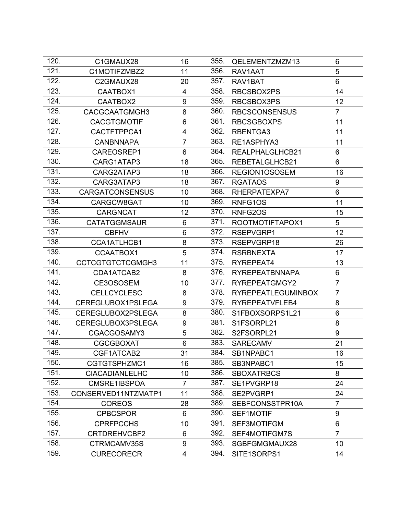| 120. | C1GMAUX28              | 16             | 355. | QELEMENTZMZM13            | 6               |
|------|------------------------|----------------|------|---------------------------|-----------------|
| 121. | C1MOTIFZMBZ2           | 11             | 356. | RAV1AAT                   | 5               |
| 122. | C2GMAUX28              | 20             | 357. | RAV1BAT                   | 6               |
| 123. | CAATBOX1               | $\overline{4}$ | 358. | RBCSBOX2PS                | 14              |
| 124. | CAATBOX2               | 9              | 359. | RBCSBOX3PS                | 12 <sub>2</sub> |
| 125. | CACGCAATGMGH3          | 8              | 360. | <b>RBCSCONSENSUS</b>      | $\overline{7}$  |
| 126. | <b>CACGTGMOTIF</b>     | 6              | 361. | <b>RBCSGBOXPS</b>         | 11              |
| 127. | CACTFTPPCA1            | 4              | 362. | RBENTGA3                  | 11              |
| 128. | <b>CANBNNAPA</b>       | $\overline{7}$ | 363. | RE1ASPHYA3                | 11              |
| 129. | CAREOSREP1             | 6              | 364. | REALPHALGLHCB21           | 6               |
| 130. | CARG1ATAP3             | 18             | 365. | REBETALGLHCB21            | 6               |
| 131. | CARG2ATAP3             | 18             | 366. | REGION1OSOSEM             | 16              |
| 132. | CARG3ATAP3             | 18             | 367. | <b>RGATAOS</b>            | 9               |
| 133. | <b>CARGATCONSENSUS</b> | 10             | 368. | RHERPATEXPA7              | 6               |
| 134. | CARGCW8GAT             | 10             | 369. | RNFG1OS                   | 11              |
| 135. | <b>CARGNCAT</b>        | 12             | 370. | RNFG2OS                   | 15              |
| 136. | <b>CATATGGMSAUR</b>    | 6              | 371. | ROOTMOTIFTAPOX1           | 5               |
| 137. | <b>CBFHV</b>           | 6              | 372. | RSEPVGRP1                 | 12              |
| 138. | CCA1ATLHCB1            | 8              | 373. | RSEPVGRP18                | 26              |
| 139. | CCAATBOX1              | 5              | 374. | <b>RSRBNEXTA</b>          | 17              |
| 140. | CCTCGTGTCTCGMGH3       | 11             | 375. | RYREPEAT4                 | 13              |
| 141. | CDA1ATCAB2             | 8              | 376. | <b>RYREPEATBNNAPA</b>     | 6               |
| 142. | CE3OSOSEM              | 10             | 377. | RYREPEATGMGY2             | $\overline{7}$  |
| 143. | <b>CELLCYCLESC</b>     | 8              | 378. | <b>RYREPEATLEGUMINBOX</b> | $\overline{7}$  |
| 144. | CEREGLUBOX1PSLEGA      | 9              | 379. | RYREPEATVFLEB4            | 8               |
| 145. | CEREGLUBOX2PSLEGA      | 8              | 380. | S1FBOXSORPS1L21           | 6               |
| 146. | CEREGLUBOX3PSLEGA      | 9              | 381. | S1FSORPL21                | 8               |
| 147. | CGACGOSAMY3            | 5              | 382. | S2FSORPL21                | 9               |
| 148. | <b>CGCGBOXAT</b>       | 6              | 383. | <b>SARECAMV</b>           | 21              |
| 149. | CGF1ATCAB2             | 31             | 384. | SB1NPABC1                 | 16              |
| 150. | CGTGTSPHZMC1           | 16             | 385. | SB3NPABC1                 | 15              |
| 151. | <b>CIACADIANLELHC</b>  | 10             | 386. | <b>SBOXATRBCS</b>         | 8               |
| 152. | CMSRE1IBSPOA           | $\overline{7}$ | 387. | SE1PVGRP18                | 24              |
| 153. | CONSERVED11NTZMATP1    | 11             | 388. | SE2PVGRP1                 | 24              |
| 154. | <b>COREOS</b>          | 28             | 389. | SEBFCONSSTPR10A           | $\overline{7}$  |
| 155. | <b>CPBCSPOR</b>        | 6              | 390. | SEF1MOTIF                 | 9               |
| 156. | <b>CPRFPCCHS</b>       | 10             | 391. | SEF3MOTIFGM               | 6               |
| 157. | CRTDREHVCBF2           | 6              | 392. | SEF4MOTIFGM7S             | $\overline{7}$  |
| 158. | CTRMCAMV35S            | 9              | 393. | SGBFGMGMAUX28             | 10              |
| 159. | <b>CURECORECR</b>      | 4              | 394. | SITE1SORPS1               | 14              |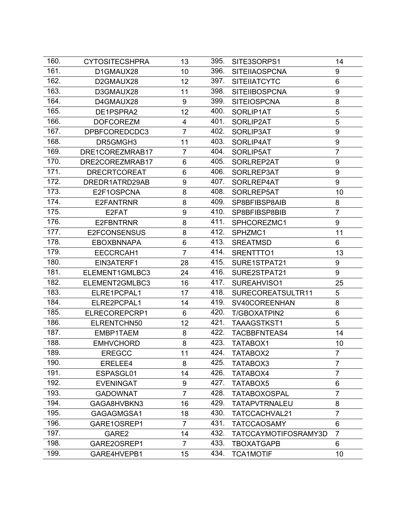| 160. | <b>CYTOSITECSHPRA</b> | 13             | 395. | SITE3SORPS1          | 14             |
|------|-----------------------|----------------|------|----------------------|----------------|
| 161. | D1GMAUX28             | 10             | 396. | <b>SITEIIAOSPCNA</b> | 9              |
| 162. | D2GMAUX28             | 12             | 397. | <b>SITEIIATCYTC</b>  | 6              |
| 163. | D3GMAUX28             | 11             | 398. | <b>SITEIIBOSPCNA</b> | 9              |
| 164. | D4GMAUX28             | 9              | 399. | <b>SITEIOSPCNA</b>   | 8              |
| 165. | DE1PSPRA2             | 12             | 400. | SORLIP1AT            | 5              |
| 166. | <b>DOFCOREZM</b>      | $\overline{4}$ | 401. | SORLIP2AT            | 5              |
| 167. | DPBFCOREDCDC3         | $\overline{7}$ | 402. | SORLIP3AT            | 9              |
| 168. | DR5GMGH3              | 11             | 403. | SORLIP4AT            | 9              |
| 169. | DRE1COREZMRAB17       | $\overline{7}$ | 404. | SORLIP5AT            | $\overline{7}$ |
| 170. | DRE2COREZMRAB17       | 6              | 405. | SORLREP2AT           | 9              |
| 171. | <b>DRECRTCOREAT</b>   | 6              | 406. | SORLREP3AT           | 9              |
| 172. | DREDR1ATRD29AB        | 9              | 407. | SORLREP4AT           | 9              |
| 173. | E2F1OSPCNA            | 8              | 408. | SORLREP5AT           | 10             |
| 174. | E2FANTRNR             | 8              | 409. | SP8BFIBSP8AIB        | 8              |
| 175. | E2FAT                 | 9              | 410. | SP8BFIBSP8BIB        | $\overline{7}$ |
| 176. | E2FBNTRNR             | 8              | 411. | SPHCOREZMC1          | 9              |
| 177. | <b>E2FCONSENSUS</b>   | 8              | 412. | SPHZMC1              | 11             |
| 178. | <b>EBOXBNNAPA</b>     | 6              | 413. | <b>SREATMSD</b>      | 6              |
| 179. | EECCRCAH1             | $\overline{7}$ | 414. | SRENTTTO1            | 13             |
| 180. | EIN3ATERF1            | 28             | 415. | SURE1STPAT21         | 9              |
| 181. | ELEMENT1GMLBC3        | 24             | 416. | SURE2STPAT21         | 9              |
| 182. | ELEMENT2GMLBC3        | 16             | 417. | SUREAHVISO1          | 25             |
| 183. | ELRE1PCPAL1           | 17             | 418. | SURECOREATSULTR11    | 5              |
| 184. | ELRE2PCPAL1           | 14             | 419. | SV40COREENHAN        | 8              |
| 185. | ELRECOREPCRP1         | 6              | 420. | T/GBOXATPIN2         | 6              |
| 186. | ELRENTCHN50           | 12             | 421. | TAAAGSTKST1          | 5              |
| 187. | EMBP1TAEM             | 8              | 422. | <b>TACBBFNTEAS4</b>  | 14             |
| 188. | <b>EMHVCHORD</b>      | 8              | 423. | TATABOX1             | 10             |
| 189. | <b>EREGCC</b>         | 11             | 424. | TATABOX2             | $\overline{7}$ |
| 190. | ERELEE4               | 8              | 425. | TATABOX3             | $\overline{7}$ |
| 191. | ESPASGL01             | 14             | 426. | TATABOX4             | $\overline{7}$ |
| 192. | <b>EVENINGAT</b>      | 9              | 427. | TATABOX5             | 6              |
| 193. | <b>GADOWNAT</b>       | $\overline{7}$ | 428. | TATABOXOSPAL         | $\overline{7}$ |
| 194. | GAGA8HVBKN3           | 16             | 429. | TATAPVTRNALEU        | 8              |
| 195. | GAGAGMGSA1            | 18             | 430. | TATCCACHVAL21        | $\overline{7}$ |
| 196. | GARE1OSREP1           | $\overline{7}$ | 431. | <b>TATCCAOSAMY</b>   | 6              |
| 197. | GARE2                 | 14             | 432. | TATCCAYMOTIFOSRAMY3D | $\overline{7}$ |
| 198. | GARE2OSREP1           | $\overline{7}$ | 433. | <b>TBOXATGAPB</b>    | 6              |
| 199. | GARE4HVEPB1           | 15             | 434. | <b>TCA1MOTIF</b>     | 10             |